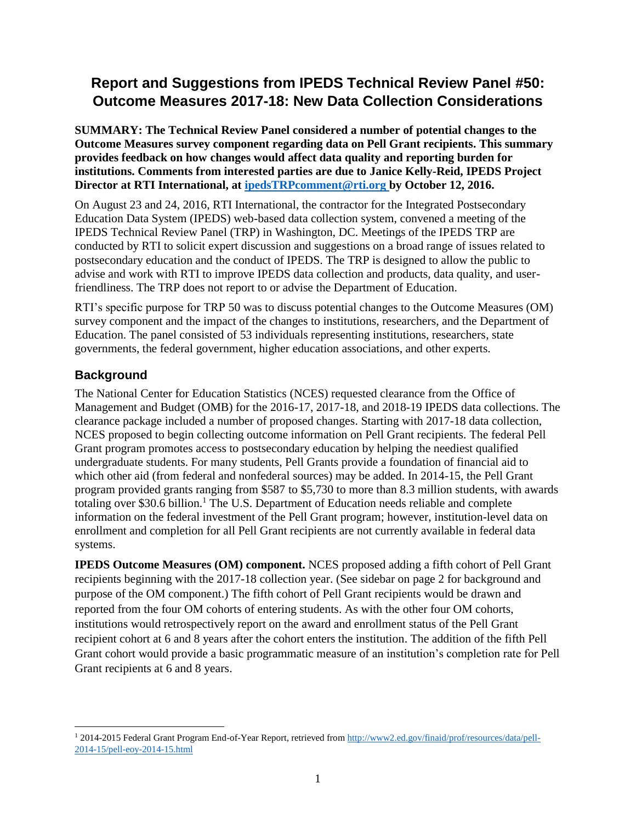# **Report and Suggestions from IPEDS Technical Review Panel #50: Outcome Measures 2017-18: New Data Collection Considerations**

**SUMMARY: The Technical Review Panel considered a number of potential changes to the Outcome Measures survey component regarding data on Pell Grant recipients. This summary provides feedback on how changes would affect data quality and reporting burden for institutions. Comments from interested parties are due to Janice Kelly-Reid, IPEDS Project Director at RTI International, at [ipedsTRPcomment@rti.org](mailto:ipedsTRPcomment@rti.org) by October 12, 2016.** 

On August 23 and 24, 2016, RTI International, the contractor for the Integrated Postsecondary Education Data System (IPEDS) web-based data collection system, convened a meeting of the IPEDS Technical Review Panel (TRP) in Washington, DC. Meetings of the IPEDS TRP are conducted by RTI to solicit expert discussion and suggestions on a broad range of issues related to postsecondary education and the conduct of IPEDS. The TRP is designed to allow the public to advise and work with RTI to improve IPEDS data collection and products, data quality, and userfriendliness. The TRP does not report to or advise the Department of Education.

RTI's specific purpose for TRP 50 was to discuss potential changes to the Outcome Measures (OM) survey component and the impact of the changes to institutions, researchers, and the Department of Education. The panel consisted of 53 individuals representing institutions, researchers, state governments, the federal government, higher education associations, and other experts.

## **Background**

The National Center for Education Statistics (NCES) requested clearance from the Office of Management and Budget (OMB) for the 2016-17, 2017-18, and 2018-19 IPEDS data collections. The clearance package included a number of proposed changes. Starting with 2017-18 data collection, NCES proposed to begin collecting outcome information on Pell Grant recipients. The federal Pell Grant program promotes access to postsecondary education by helping the neediest qualified undergraduate students. For many students, Pell Grants provide a foundation of financial aid to which other aid (from federal and nonfederal sources) may be added. In 2014-15, the Pell Grant program provided grants ranging from \$587 to \$5,730 to more than 8.3 million students, with awards totaling over \$30.6 billion. <sup>1</sup> The U.S. Department of Education needs reliable and complete information on the federal investment of the Pell Grant program; however, institution-level data on enrollment and completion for all Pell Grant recipients are not currently available in federal data systems.

**IPEDS Outcome Measures (OM) component.** NCES proposed adding a fifth cohort of Pell Grant recipients beginning with the 2017-18 collection year. (See sidebar on page 2 for background and purpose of the OM component.) The fifth cohort of Pell Grant recipients would be drawn and reported from the four OM cohorts of entering students. As with the other four OM cohorts, institutions would retrospectively report on the award and enrollment status of the Pell Grant recipient cohort at 6 and 8 years after the cohort enters the institution. The addition of the fifth Pell Grant cohort would provide a basic programmatic measure of an institution's completion rate for Pell Grant recipients at 6 and 8 years.

<sup>1</sup> 2014-2015 Federal Grant Program End-of-Year Report, retrieved fro[m http://www2.ed.gov/finaid/prof/resources/data/pell-](http://www2.ed.gov/finaid/prof/resources/data/pell-2014-15/pell-eoy-2014-15.html)[2014-15/pell-eoy-2014-15.html](http://www2.ed.gov/finaid/prof/resources/data/pell-2014-15/pell-eoy-2014-15.html)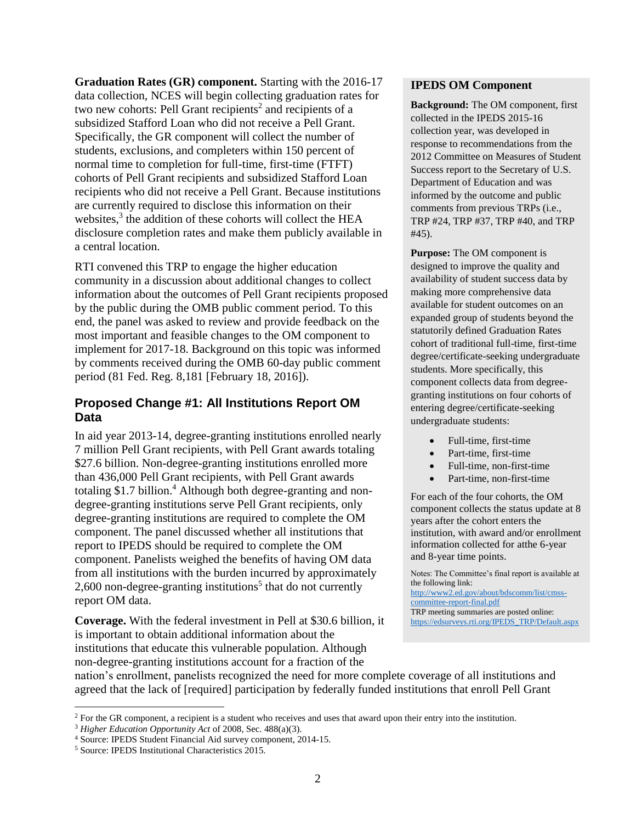**Graduation Rates (GR) component.** Starting with the 2016-17 data collection, NCES will begin collecting graduation rates for two new cohorts: Pell Grant recipients<sup>2</sup> and recipients of a subsidized Stafford Loan who did not receive a Pell Grant. Specifically, the GR component will collect the number of students, exclusions, and completers within 150 percent of normal time to completion for full-time, first-time (FTFT) cohorts of Pell Grant recipients and subsidized Stafford Loan recipients who did not receive a Pell Grant. Because institutions are currently required to disclose this information on their websites,<sup>3</sup> the addition of these cohorts will collect the HEA disclosure completion rates and make them publicly available in a central location.

RTI convened this TRP to engage the higher education community in a discussion about additional changes to collect information about the outcomes of Pell Grant recipients proposed by the public during the OMB public comment period. To this end, the panel was asked to review and provide feedback on the most important and feasible changes to the OM component to implement for 2017-18. Background on this topic was informed by comments received during the OMB 60-day public comment period (81 Fed. Reg. 8,181 [February 18, 2016]).

#### **Proposed Change #1: All Institutions Report OM Data**

In aid year 2013-14, degree-granting institutions enrolled nearly 7 million Pell Grant recipients, with Pell Grant awards totaling \$27.6 billion. Non-degree-granting institutions enrolled more than 436,000 Pell Grant recipients, with Pell Grant awards totaling \$1.7 billion. <sup>4</sup> Although both degree-granting and nondegree-granting institutions serve Pell Grant recipients, only degree-granting institutions are required to complete the OM component. The panel discussed whether all institutions that report to IPEDS should be required to complete the OM component. Panelists weighed the benefits of having OM data from all institutions with the burden incurred by approximately 2,600 non-degree-granting institutions<sup>5</sup> that do not currently report OM data.

**Coverage.** With the federal investment in Pell at \$30.6 billion, it is important to obtain additional information about the institutions that educate this vulnerable population. Although non-degree-granting institutions account for a fraction of the

#### **IPEDS OM Component**

**Background:** The OM component, first collected in the IPEDS 2015-16 collection year, was developed in response to recommendations from the 2012 Committee on Measures of Student Success report to the Secretary of U.S. Department of Education and was informed by the outcome and public comments from previous TRPs (i.e., TRP #24, TRP #37, TRP #40, and TRP #45).

**Purpose:** The OM component is designed to improve the quality and availability of student success data by making more comprehensive data available for student outcomes on an expanded group of students beyond the statutorily defined Graduation Rates cohort of traditional full-time, first-time degree/certificate-seeking undergraduate students. More specifically, this component collects data from degreegranting institutions on four cohorts of entering degree/certificate-seeking undergraduate students:

- Full-time, first-time
- Part-time, first-time
- Full-time, non-first-time
- Part-time, non-first-time

For each of the four cohorts, the OM component collects the status update at 8 years after the cohort enters the institution, with award and/or enrollment information collected for atthe 6-year and 8-year time points.

Notes: The Committee's final report is available at the following link: [http://www2.ed.gov/about/bdscomm/list/cmss](http://www2.ed.gov/about/bdscomm/list/cmss-committee-report-final.pdf)[committee-report-final.pdf](http://www2.ed.gov/about/bdscomm/list/cmss-committee-report-final.pdf) TRP meeting summaries are posted online: [https://edsurveys.rti.org/IPEDS\\_TRP/Default.aspx](https://edsurveys.rti.org/IPEDS_TRP/Default.aspx)

nation's enrollment, panelists recognized the need for more complete coverage of all institutions and agreed that the lack of [required] participation by federally funded institutions that enroll Pell Grant

l

<sup>&</sup>lt;sup>2</sup> For the GR component, a recipient is a student who receives and uses that award upon their entry into the institution.

<sup>3</sup> *Higher Education Opportunity Act* of 2008, Sec. 488(a)(3).

<sup>4</sup> Source: IPEDS Student Financial Aid survey component, 2014-15.

<sup>5</sup> Source: IPEDS Institutional Characteristics 2015.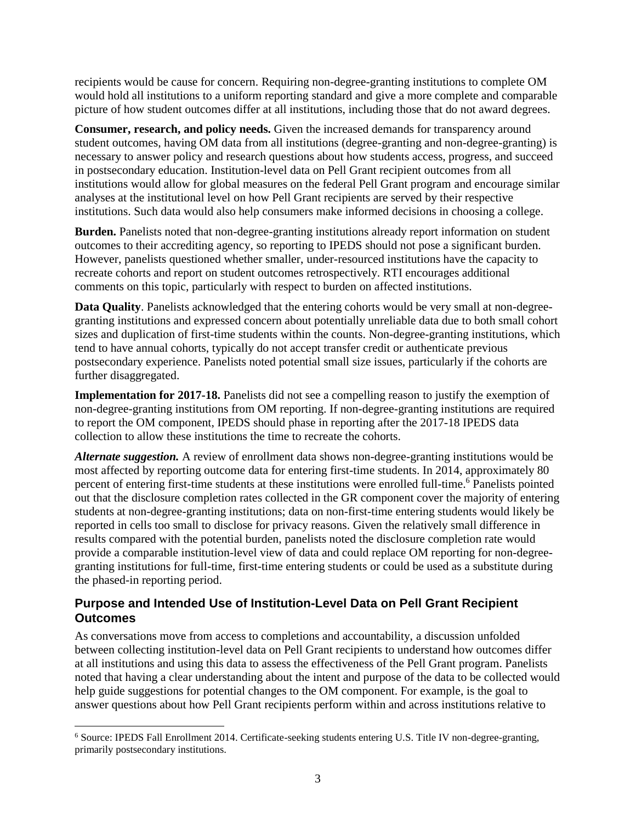recipients would be cause for concern. Requiring non-degree-granting institutions to complete OM would hold all institutions to a uniform reporting standard and give a more complete and comparable picture of how student outcomes differ at all institutions, including those that do not award degrees.

**Consumer, research, and policy needs.** Given the increased demands for transparency around student outcomes, having OM data from all institutions (degree-granting and non-degree-granting) is necessary to answer policy and research questions about how students access, progress, and succeed in postsecondary education. Institution-level data on Pell Grant recipient outcomes from all institutions would allow for global measures on the federal Pell Grant program and encourage similar analyses at the institutional level on how Pell Grant recipients are served by their respective institutions. Such data would also help consumers make informed decisions in choosing a college.

**Burden.** Panelists noted that non-degree-granting institutions already report information on student outcomes to their accrediting agency, so reporting to IPEDS should not pose a significant burden. However, panelists questioned whether smaller, under-resourced institutions have the capacity to recreate cohorts and report on student outcomes retrospectively. RTI encourages additional comments on this topic, particularly with respect to burden on affected institutions.

**Data Quality**. Panelists acknowledged that the entering cohorts would be very small at non-degreegranting institutions and expressed concern about potentially unreliable data due to both small cohort sizes and duplication of first-time students within the counts. Non-degree-granting institutions, which tend to have annual cohorts, typically do not accept transfer credit or authenticate previous postsecondary experience. Panelists noted potential small size issues, particularly if the cohorts are further disaggregated.

**Implementation for 2017-18.** Panelists did not see a compelling reason to justify the exemption of non-degree-granting institutions from OM reporting. If non-degree-granting institutions are required to report the OM component, IPEDS should phase in reporting after the 2017-18 IPEDS data collection to allow these institutions the time to recreate the cohorts.

*Alternate suggestion.* A review of enrollment data shows non-degree-granting institutions would be most affected by reporting outcome data for entering first-time students. In 2014, approximately 80 percent of entering first-time students at these institutions were enrolled full-time.<sup>6</sup> Panelists pointed out that the disclosure completion rates collected in the GR component cover the majority of entering students at non-degree-granting institutions; data on non-first-time entering students would likely be reported in cells too small to disclose for privacy reasons. Given the relatively small difference in results compared with the potential burden, panelists noted the disclosure completion rate would provide a comparable institution-level view of data and could replace OM reporting for non-degreegranting institutions for full-time, first-time entering students or could be used as a substitute during the phased-in reporting period.

## **Purpose and Intended Use of Institution-Level Data on Pell Grant Recipient Outcomes**

As conversations move from access to completions and accountability, a discussion unfolded between collecting institution-level data on Pell Grant recipients to understand how outcomes differ at all institutions and using this data to assess the effectiveness of the Pell Grant program. Panelists noted that having a clear understanding about the intent and purpose of the data to be collected would help guide suggestions for potential changes to the OM component. For example, is the goal to answer questions about how Pell Grant recipients perform within and across institutions relative to

<sup>6</sup> Source: IPEDS Fall Enrollment 2014. Certificate-seeking students entering U.S. Title IV non-degree-granting, primarily postsecondary institutions.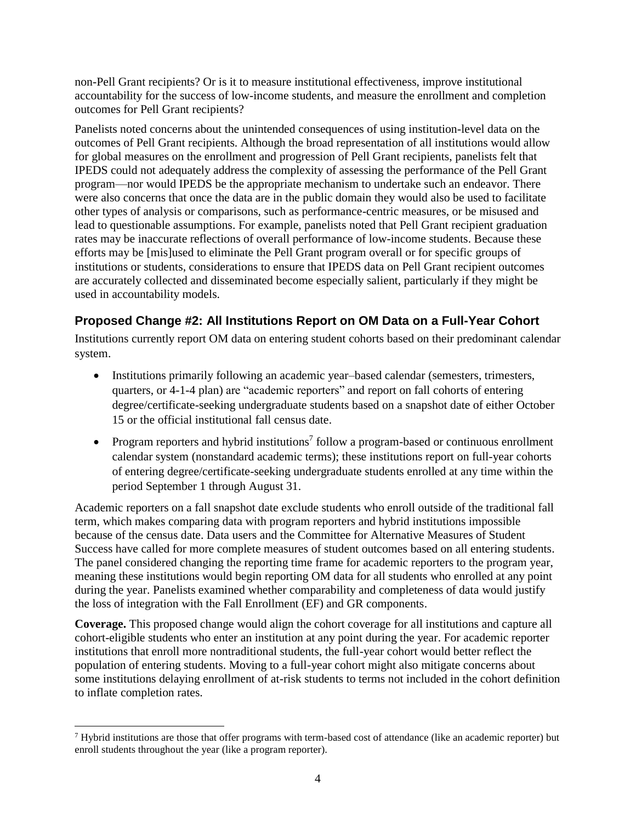non-Pell Grant recipients? Or is it to measure institutional effectiveness, improve institutional accountability for the success of low-income students, and measure the enrollment and completion outcomes for Pell Grant recipients?

Panelists noted concerns about the unintended consequences of using institution-level data on the outcomes of Pell Grant recipients. Although the broad representation of all institutions would allow for global measures on the enrollment and progression of Pell Grant recipients, panelists felt that IPEDS could not adequately address the complexity of assessing the performance of the Pell Grant program—nor would IPEDS be the appropriate mechanism to undertake such an endeavor. There were also concerns that once the data are in the public domain they would also be used to facilitate other types of analysis or comparisons, such as performance-centric measures, or be misused and lead to questionable assumptions. For example, panelists noted that Pell Grant recipient graduation rates may be inaccurate reflections of overall performance of low-income students. Because these efforts may be [mis]used to eliminate the Pell Grant program overall or for specific groups of institutions or students, considerations to ensure that IPEDS data on Pell Grant recipient outcomes are accurately collected and disseminated become especially salient, particularly if they might be used in accountability models.

# **Proposed Change #2: All Institutions Report on OM Data on a Full-Year Cohort**

Institutions currently report OM data on entering student cohorts based on their predominant calendar system.

- Institutions primarily following an academic year–based calendar (semesters, trimesters, quarters, or 4-1-4 plan) are "academic reporters" and report on fall cohorts of entering degree/certificate-seeking undergraduate students based on a snapshot date of either October 15 or the official institutional fall census date.
- Program reporters and hybrid institutions<sup>7</sup> follow a program-based or continuous enrollment calendar system (nonstandard academic terms); these institutions report on full-year cohorts of entering degree/certificate-seeking undergraduate students enrolled at any time within the period September 1 through August 31.

Academic reporters on a fall snapshot date exclude students who enroll outside of the traditional fall term, which makes comparing data with program reporters and hybrid institutions impossible because of the census date. Data users and the Committee for Alternative Measures of Student Success have called for more complete measures of student outcomes based on all entering students. The panel considered changing the reporting time frame for academic reporters to the program year, meaning these institutions would begin reporting OM data for all students who enrolled at any point during the year. Panelists examined whether comparability and completeness of data would justify the loss of integration with the Fall Enrollment (EF) and GR components.

**Coverage.** This proposed change would align the cohort coverage for all institutions and capture all cohort-eligible students who enter an institution at any point during the year. For academic reporter institutions that enroll more nontraditional students, the full-year cohort would better reflect the population of entering students. Moving to a full-year cohort might also mitigate concerns about some institutions delaying enrollment of at-risk students to terms not included in the cohort definition to inflate completion rates.

 $7$  Hybrid institutions are those that offer programs with term-based cost of attendance (like an academic reporter) but enroll students throughout the year (like a program reporter).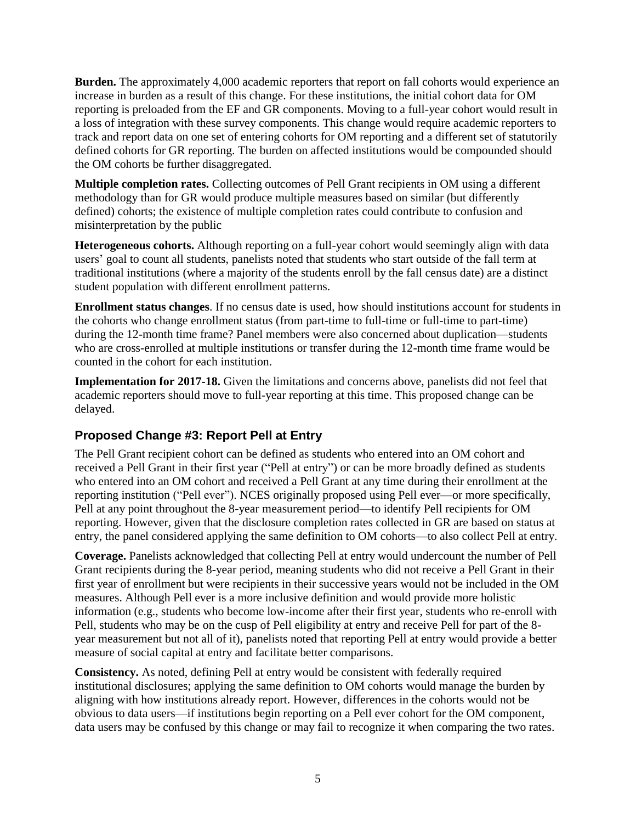**Burden.** The approximately 4,000 academic reporters that report on fall cohorts would experience an increase in burden as a result of this change. For these institutions, the initial cohort data for OM reporting is preloaded from the EF and GR components. Moving to a full-year cohort would result in a loss of integration with these survey components. This change would require academic reporters to track and report data on one set of entering cohorts for OM reporting and a different set of statutorily defined cohorts for GR reporting. The burden on affected institutions would be compounded should the OM cohorts be further disaggregated.

**Multiple completion rates.** Collecting outcomes of Pell Grant recipients in OM using a different methodology than for GR would produce multiple measures based on similar (but differently defined) cohorts; the existence of multiple completion rates could contribute to confusion and misinterpretation by the public

**Heterogeneous cohorts.** Although reporting on a full-year cohort would seemingly align with data users' goal to count all students, panelists noted that students who start outside of the fall term at traditional institutions (where a majority of the students enroll by the fall census date) are a distinct student population with different enrollment patterns.

**Enrollment status changes**. If no census date is used, how should institutions account for students in the cohorts who change enrollment status (from part-time to full-time or full-time to part-time) during the 12-month time frame? Panel members were also concerned about duplication—students who are cross-enrolled at multiple institutions or transfer during the 12-month time frame would be counted in the cohort for each institution.

**Implementation for 2017-18.** Given the limitations and concerns above, panelists did not feel that academic reporters should move to full-year reporting at this time. This proposed change can be delayed.

# **Proposed Change #3: Report Pell at Entry**

The Pell Grant recipient cohort can be defined as students who entered into an OM cohort and received a Pell Grant in their first year ("Pell at entry") or can be more broadly defined as students who entered into an OM cohort and received a Pell Grant at any time during their enrollment at the reporting institution ("Pell ever"). NCES originally proposed using Pell ever—or more specifically, Pell at any point throughout the 8-year measurement period—to identify Pell recipients for OM reporting. However, given that the disclosure completion rates collected in GR are based on status at entry, the panel considered applying the same definition to OM cohorts—to also collect Pell at entry.

**Coverage.** Panelists acknowledged that collecting Pell at entry would undercount the number of Pell Grant recipients during the 8-year period, meaning students who did not receive a Pell Grant in their first year of enrollment but were recipients in their successive years would not be included in the OM measures. Although Pell ever is a more inclusive definition and would provide more holistic information (e.g., students who become low-income after their first year, students who re-enroll with Pell, students who may be on the cusp of Pell eligibility at entry and receive Pell for part of the 8 year measurement but not all of it), panelists noted that reporting Pell at entry would provide a better measure of social capital at entry and facilitate better comparisons.

**Consistency.** As noted, defining Pell at entry would be consistent with federally required institutional disclosures; applying the same definition to OM cohorts would manage the burden by aligning with how institutions already report. However, differences in the cohorts would not be obvious to data users—if institutions begin reporting on a Pell ever cohort for the OM component, data users may be confused by this change or may fail to recognize it when comparing the two rates.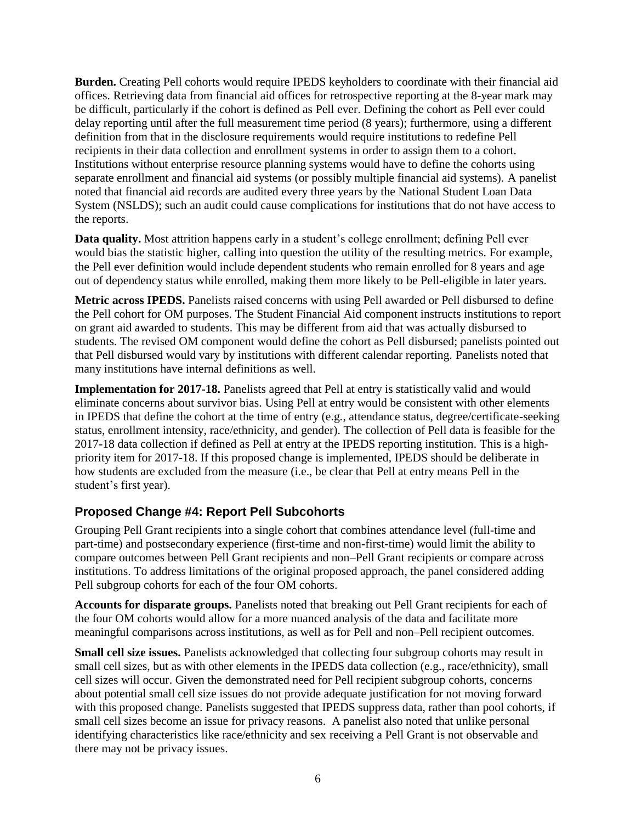**Burden.** Creating Pell cohorts would require IPEDS keyholders to coordinate with their financial aid offices. Retrieving data from financial aid offices for retrospective reporting at the 8-year mark may be difficult, particularly if the cohort is defined as Pell ever. Defining the cohort as Pell ever could delay reporting until after the full measurement time period (8 years); furthermore, using a different definition from that in the disclosure requirements would require institutions to redefine Pell recipients in their data collection and enrollment systems in order to assign them to a cohort. Institutions without enterprise resource planning systems would have to define the cohorts using separate enrollment and financial aid systems (or possibly multiple financial aid systems). A panelist noted that financial aid records are audited every three years by the National Student Loan Data System (NSLDS); such an audit could cause complications for institutions that do not have access to the reports.

**Data quality.** Most attrition happens early in a student's college enrollment; defining Pell ever would bias the statistic higher, calling into question the utility of the resulting metrics. For example, the Pell ever definition would include dependent students who remain enrolled for 8 years and age out of dependency status while enrolled, making them more likely to be Pell-eligible in later years.

**Metric across IPEDS.** Panelists raised concerns with using Pell awarded or Pell disbursed to define the Pell cohort for OM purposes. The Student Financial Aid component instructs institutions to report on grant aid awarded to students. This may be different from aid that was actually disbursed to students. The revised OM component would define the cohort as Pell disbursed; panelists pointed out that Pell disbursed would vary by institutions with different calendar reporting. Panelists noted that many institutions have internal definitions as well.

Implementation for 2017-18. Panelists agreed that Pell at entry is statistically valid and would eliminate concerns about survivor bias. Using Pell at entry would be consistent with other elements in IPEDS that define the cohort at the time of entry (e.g., attendance status, degree/certificate-seeking status, enrollment intensity, race/ethnicity, and gender). The collection of Pell data is feasible for the 2017-18 data collection if defined as Pell at entry at the IPEDS reporting institution. This is a highpriority item for 2017-18. If this proposed change is implemented, IPEDS should be deliberate in how students are excluded from the measure (i.e., be clear that Pell at entry means Pell in the student's first year).

#### **Proposed Change #4: Report Pell Subcohorts**

Grouping Pell Grant recipients into a single cohort that combines attendance level (full-time and part-time) and postsecondary experience (first-time and non-first-time) would limit the ability to compare outcomes between Pell Grant recipients and non–Pell Grant recipients or compare across institutions. To address limitations of the original proposed approach, the panel considered adding Pell subgroup cohorts for each of the four OM cohorts.

**Accounts for disparate groups.** Panelists noted that breaking out Pell Grant recipients for each of the four OM cohorts would allow for a more nuanced analysis of the data and facilitate more meaningful comparisons across institutions, as well as for Pell and non–Pell recipient outcomes.

**Small cell size issues.** Panelists acknowledged that collecting four subgroup cohorts may result in small cell sizes, but as with other elements in the IPEDS data collection (e.g., race/ethnicity), small cell sizes will occur. Given the demonstrated need for Pell recipient subgroup cohorts, concerns about potential small cell size issues do not provide adequate justification for not moving forward with this proposed change. Panelists suggested that IPEDS suppress data, rather than pool cohorts, if small cell sizes become an issue for privacy reasons. A panelist also noted that unlike personal identifying characteristics like race/ethnicity and sex receiving a Pell Grant is not observable and there may not be privacy issues.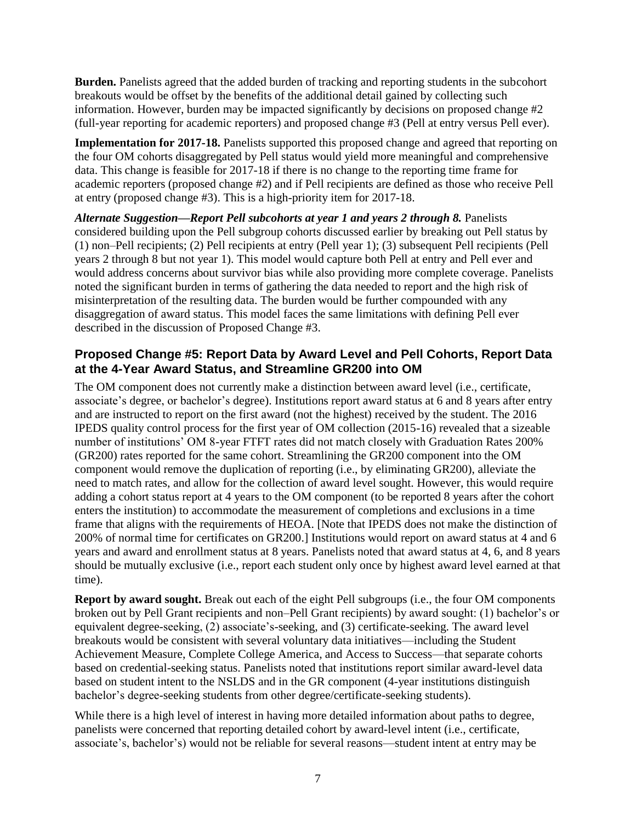**Burden.** Panelists agreed that the added burden of tracking and reporting students in the subcohort breakouts would be offset by the benefits of the additional detail gained by collecting such information. However, burden may be impacted significantly by decisions on proposed change #2 (full-year reporting for academic reporters) and proposed change #3 (Pell at entry versus Pell ever).

**Implementation for 2017-18.** Panelists supported this proposed change and agreed that reporting on the four OM cohorts disaggregated by Pell status would yield more meaningful and comprehensive data. This change is feasible for 2017-18 if there is no change to the reporting time frame for academic reporters (proposed change #2) and if Pell recipients are defined as those who receive Pell at entry (proposed change #3). This is a high-priority item for 2017-18.

*Alternate Suggestion—Report Pell subcohorts at year 1 and years 2 through 8.* Panelists considered building upon the Pell subgroup cohorts discussed earlier by breaking out Pell status by (1) non–Pell recipients; (2) Pell recipients at entry (Pell year 1); (3) subsequent Pell recipients (Pell years 2 through 8 but not year 1). This model would capture both Pell at entry and Pell ever and would address concerns about survivor bias while also providing more complete coverage. Panelists noted the significant burden in terms of gathering the data needed to report and the high risk of misinterpretation of the resulting data. The burden would be further compounded with any disaggregation of award status. This model faces the same limitations with defining Pell ever described in the discussion of Proposed Change #3.

## **Proposed Change #5: Report Data by Award Level and Pell Cohorts, Report Data at the 4-Year Award Status, and Streamline GR200 into OM**

The OM component does not currently make a distinction between award level (i.e., certificate, associate's degree, or bachelor's degree). Institutions report award status at 6 and 8 years after entry and are instructed to report on the first award (not the highest) received by the student. The 2016 IPEDS quality control process for the first year of OM collection (2015-16) revealed that a sizeable number of institutions' OM 8-year FTFT rates did not match closely with Graduation Rates 200% (GR200) rates reported for the same cohort. Streamlining the GR200 component into the OM component would remove the duplication of reporting (i.e., by eliminating GR200), alleviate the need to match rates, and allow for the collection of award level sought. However, this would require adding a cohort status report at 4 years to the OM component (to be reported 8 years after the cohort enters the institution) to accommodate the measurement of completions and exclusions in a time frame that aligns with the requirements of HEOA. [Note that IPEDS does not make the distinction of 200% of normal time for certificates on GR200.] Institutions would report on award status at 4 and 6 years and award and enrollment status at 8 years. Panelists noted that award status at 4, 6, and 8 years should be mutually exclusive (i.e., report each student only once by highest award level earned at that time).

**Report by award sought.** Break out each of the eight Pell subgroups (i.e., the four OM components broken out by Pell Grant recipients and non–Pell Grant recipients) by award sought: (1) bachelor's or equivalent degree-seeking, (2) associate's-seeking, and (3) certificate-seeking. The award level breakouts would be consistent with several voluntary data initiatives—including the Student Achievement Measure, Complete College America, and Access to Success—that separate cohorts based on credential-seeking status. Panelists noted that institutions report similar award-level data based on student intent to the NSLDS and in the GR component (4-year institutions distinguish bachelor's degree-seeking students from other degree/certificate-seeking students).

While there is a high level of interest in having more detailed information about paths to degree, panelists were concerned that reporting detailed cohort by award-level intent (i.e., certificate, associate's, bachelor's) would not be reliable for several reasons—student intent at entry may be